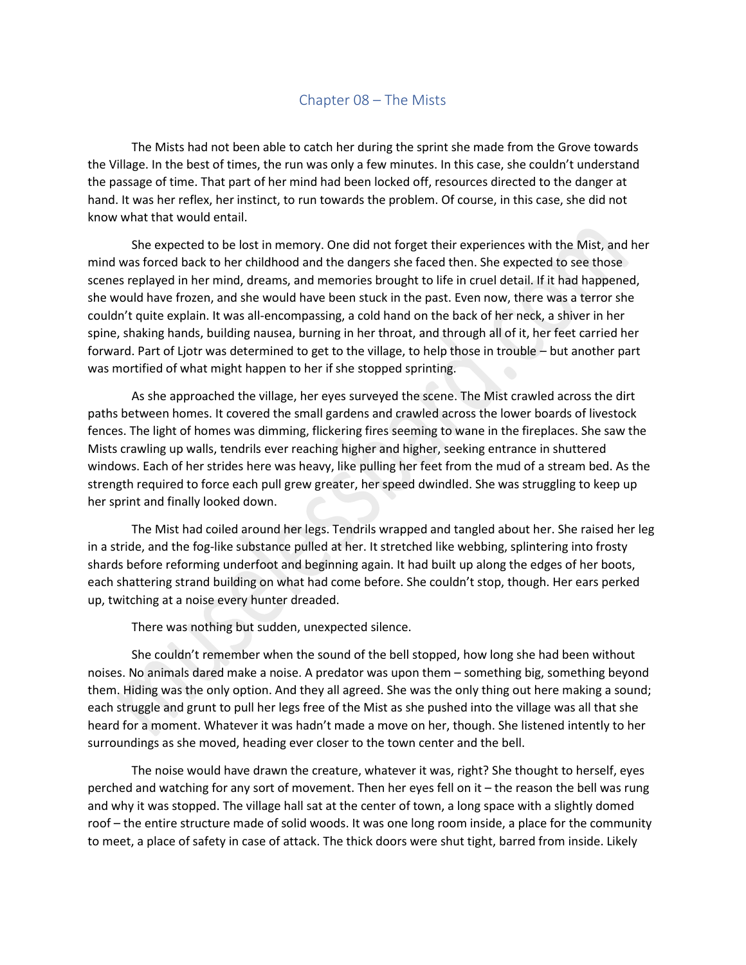## Chapter 08 – The Mists

The Mists had not been able to catch her during the sprint she made from the Grove towards the Village. In the best of times, the run was only a few minutes. In this case, she couldn't understand the passage of time. That part of her mind had been locked off, resources directed to the danger at hand. It was her reflex, her instinct, to run towards the problem. Of course, in this case, she did not know what that would entail.

She expected to be lost in memory. One did not forget their experiences with the Mist, and her mind was forced back to her childhood and the dangers she faced then. She expected to see those scenes replayed in her mind, dreams, and memories brought to life in cruel detail. If it had happened, she would have frozen, and she would have been stuck in the past. Even now, there was a terror she couldn't quite explain. It was all-encompassing, a cold hand on the back of her neck, a shiver in her spine, shaking hands, building nausea, burning in her throat, and through all of it, her feet carried her forward. Part of Ljotr was determined to get to the village, to help those in trouble – but another part was mortified of what might happen to her if she stopped sprinting.

As she approached the village, her eyes surveyed the scene. The Mist crawled across the dirt paths between homes. It covered the small gardens and crawled across the lower boards of livestock fences. The light of homes was dimming, flickering fires seeming to wane in the fireplaces. She saw the Mists crawling up walls, tendrils ever reaching higher and higher, seeking entrance in shuttered windows. Each of her strides here was heavy, like pulling her feet from the mud of a stream bed. As the strength required to force each pull grew greater, her speed dwindled. She was struggling to keep up her sprint and finally looked down.

The Mist had coiled around her legs. Tendrils wrapped and tangled about her. She raised her leg in a stride, and the fog-like substance pulled at her. It stretched like webbing, splintering into frosty shards before reforming underfoot and beginning again. It had built up along the edges of her boots, each shattering strand building on what had come before. She couldn't stop, though. Her ears perked up, twitching at a noise every hunter dreaded.

There was nothing but sudden, unexpected silence.

She couldn't remember when the sound of the bell stopped, how long she had been without noises. No animals dared make a noise. A predator was upon them – something big, something beyond them. Hiding was the only option. And they all agreed. She was the only thing out here making a sound; each struggle and grunt to pull her legs free of the Mist as she pushed into the village was all that she heard for a moment. Whatever it was hadn't made a move on her, though. She listened intently to her surroundings as she moved, heading ever closer to the town center and the bell.

The noise would have drawn the creature, whatever it was, right? She thought to herself, eyes perched and watching for any sort of movement. Then her eyes fell on it – the reason the bell was rung and why it was stopped. The village hall sat at the center of town, a long space with a slightly domed roof – the entire structure made of solid woods. It was one long room inside, a place for the community to meet, a place of safety in case of attack. The thick doors were shut tight, barred from inside. Likely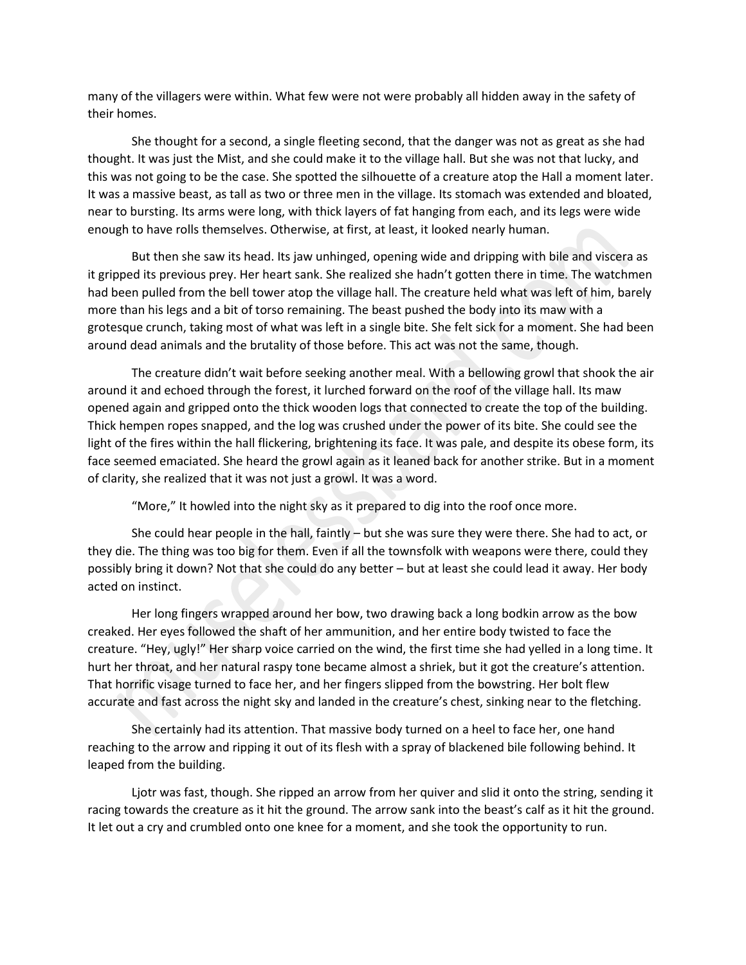many of the villagers were within. What few were not were probably all hidden away in the safety of their homes.

She thought for a second, a single fleeting second, that the danger was not as great as she had thought. It was just the Mist, and she could make it to the village hall. But she was not that lucky, and this was not going to be the case. She spotted the silhouette of a creature atop the Hall a moment later. It was a massive beast, as tall as two or three men in the village. Its stomach was extended and bloated, near to bursting. Its arms were long, with thick layers of fat hanging from each, and its legs were wide enough to have rolls themselves. Otherwise, at first, at least, it looked nearly human.

But then she saw its head. Its jaw unhinged, opening wide and dripping with bile and viscera as it gripped its previous prey. Her heart sank. She realized she hadn't gotten there in time. The watchmen had been pulled from the bell tower atop the village hall. The creature held what was left of him, barely more than his legs and a bit of torso remaining. The beast pushed the body into its maw with a grotesque crunch, taking most of what was left in a single bite. She felt sick for a moment. She had been around dead animals and the brutality of those before. This act was not the same, though.

The creature didn't wait before seeking another meal. With a bellowing growl that shook the air around it and echoed through the forest, it lurched forward on the roof of the village hall. Its maw opened again and gripped onto the thick wooden logs that connected to create the top of the building. Thick hempen ropes snapped, and the log was crushed under the power of its bite. She could see the light of the fires within the hall flickering, brightening its face. It was pale, and despite its obese form, its face seemed emaciated. She heard the growl again as it leaned back for another strike. But in a moment of clarity, she realized that it was not just a growl. It was a word.

"More," It howled into the night sky as it prepared to dig into the roof once more.

She could hear people in the hall, faintly – but she was sure they were there. She had to act, or they die. The thing was too big for them. Even if all the townsfolk with weapons were there, could they possibly bring it down? Not that she could do any better – but at least she could lead it away. Her body acted on instinct.

Her long fingers wrapped around her bow, two drawing back a long bodkin arrow as the bow creaked. Her eyes followed the shaft of her ammunition, and her entire body twisted to face the creature. "Hey, ugly!" Her sharp voice carried on the wind, the first time she had yelled in a long time. It hurt her throat, and her natural raspy tone became almost a shriek, but it got the creature's attention. That horrific visage turned to face her, and her fingers slipped from the bowstring. Her bolt flew accurate and fast across the night sky and landed in the creature's chest, sinking near to the fletching.

She certainly had its attention. That massive body turned on a heel to face her, one hand reaching to the arrow and ripping it out of its flesh with a spray of blackened bile following behind. It leaped from the building.

Ljotr was fast, though. She ripped an arrow from her quiver and slid it onto the string, sending it racing towards the creature as it hit the ground. The arrow sank into the beast's calf as it hit the ground. It let out a cry and crumbled onto one knee for a moment, and she took the opportunity to run.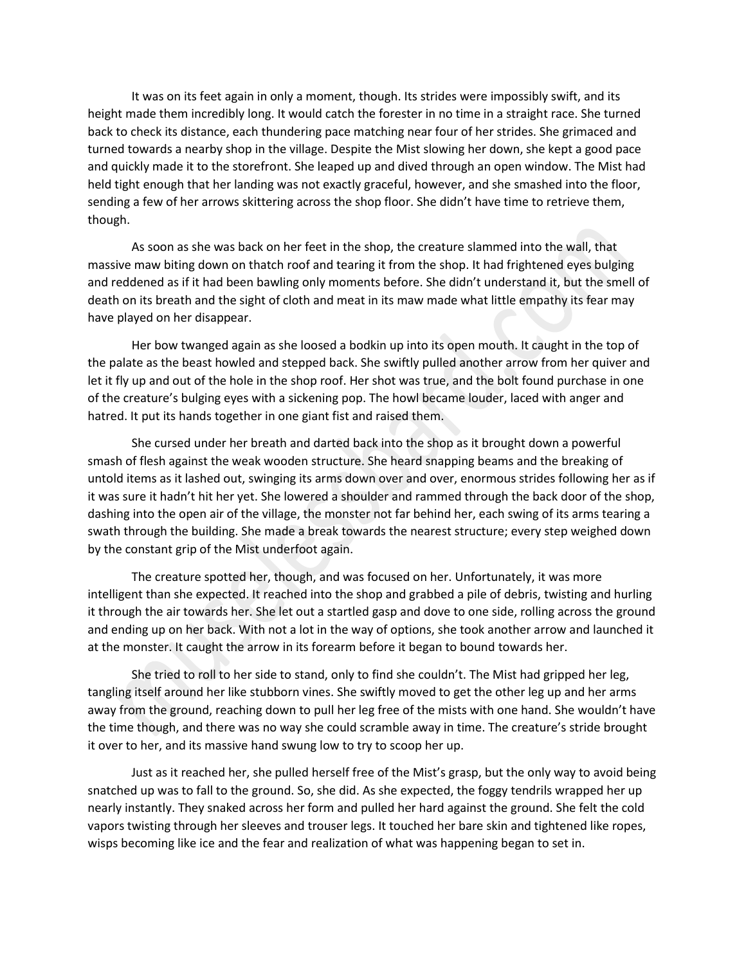It was on its feet again in only a moment, though. Its strides were impossibly swift, and its height made them incredibly long. It would catch the forester in no time in a straight race. She turned back to check its distance, each thundering pace matching near four of her strides. She grimaced and turned towards a nearby shop in the village. Despite the Mist slowing her down, she kept a good pace and quickly made it to the storefront. She leaped up and dived through an open window. The Mist had held tight enough that her landing was not exactly graceful, however, and she smashed into the floor, sending a few of her arrows skittering across the shop floor. She didn't have time to retrieve them, though.

As soon as she was back on her feet in the shop, the creature slammed into the wall, that massive maw biting down on thatch roof and tearing it from the shop. It had frightened eyes bulging and reddened as if it had been bawling only moments before. She didn't understand it, but the smell of death on its breath and the sight of cloth and meat in its maw made what little empathy its fear may have played on her disappear.

Her bow twanged again as she loosed a bodkin up into its open mouth. It caught in the top of the palate as the beast howled and stepped back. She swiftly pulled another arrow from her quiver and let it fly up and out of the hole in the shop roof. Her shot was true, and the bolt found purchase in one of the creature's bulging eyes with a sickening pop. The howl became louder, laced with anger and hatred. It put its hands together in one giant fist and raised them.

She cursed under her breath and darted back into the shop as it brought down a powerful smash of flesh against the weak wooden structure. She heard snapping beams and the breaking of untold items as it lashed out, swinging its arms down over and over, enormous strides following her as if it was sure it hadn't hit her yet. She lowered a shoulder and rammed through the back door of the shop, dashing into the open air of the village, the monster not far behind her, each swing of its arms tearing a swath through the building. She made a break towards the nearest structure; every step weighed down by the constant grip of the Mist underfoot again.

The creature spotted her, though, and was focused on her. Unfortunately, it was more intelligent than she expected. It reached into the shop and grabbed a pile of debris, twisting and hurling it through the air towards her. She let out a startled gasp and dove to one side, rolling across the ground and ending up on her back. With not a lot in the way of options, she took another arrow and launched it at the monster. It caught the arrow in its forearm before it began to bound towards her.

She tried to roll to her side to stand, only to find she couldn't. The Mist had gripped her leg, tangling itself around her like stubborn vines. She swiftly moved to get the other leg up and her arms away from the ground, reaching down to pull her leg free of the mists with one hand. She wouldn't have the time though, and there was no way she could scramble away in time. The creature's stride brought it over to her, and its massive hand swung low to try to scoop her up.

Just as it reached her, she pulled herself free of the Mist's grasp, but the only way to avoid being snatched up was to fall to the ground. So, she did. As she expected, the foggy tendrils wrapped her up nearly instantly. They snaked across her form and pulled her hard against the ground. She felt the cold vapors twisting through her sleeves and trouser legs. It touched her bare skin and tightened like ropes, wisps becoming like ice and the fear and realization of what was happening began to set in.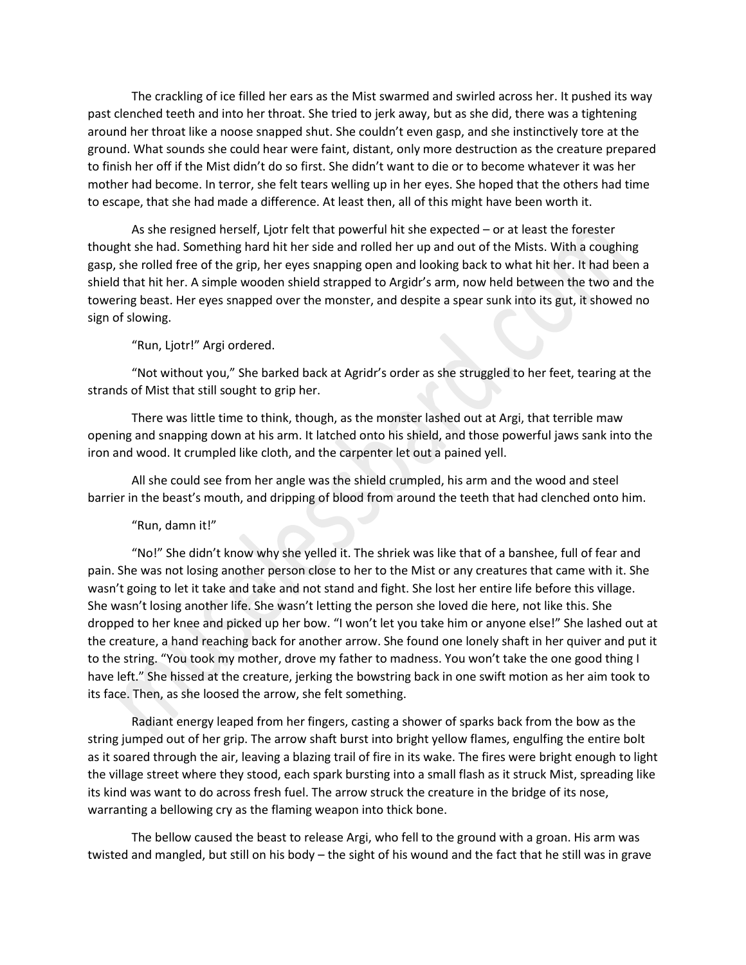The crackling of ice filled her ears as the Mist swarmed and swirled across her. It pushed its way past clenched teeth and into her throat. She tried to jerk away, but as she did, there was a tightening around her throat like a noose snapped shut. She couldn't even gasp, and she instinctively tore at the ground. What sounds she could hear were faint, distant, only more destruction as the creature prepared to finish her off if the Mist didn't do so first. She didn't want to die or to become whatever it was her mother had become. In terror, she felt tears welling up in her eyes. She hoped that the others had time to escape, that she had made a difference. At least then, all of this might have been worth it.

As she resigned herself, Ljotr felt that powerful hit she expected – or at least the forester thought she had. Something hard hit her side and rolled her up and out of the Mists. With a coughing gasp, she rolled free of the grip, her eyes snapping open and looking back to what hit her. It had been a shield that hit her. A simple wooden shield strapped to Argidr's arm, now held between the two and the towering beast. Her eyes snapped over the monster, and despite a spear sunk into its gut, it showed no sign of slowing.

"Run, Ljotr!" Argi ordered.

"Not without you," She barked back at Agridr's order as she struggled to her feet, tearing at the strands of Mist that still sought to grip her.

There was little time to think, though, as the monster lashed out at Argi, that terrible maw opening and snapping down at his arm. It latched onto his shield, and those powerful jaws sank into the iron and wood. It crumpled like cloth, and the carpenter let out a pained yell.

All she could see from her angle was the shield crumpled, his arm and the wood and steel barrier in the beast's mouth, and dripping of blood from around the teeth that had clenched onto him.

## "Run, damn it!"

"No!" She didn't know why she yelled it. The shriek was like that of a banshee, full of fear and pain. She was not losing another person close to her to the Mist or any creatures that came with it. She wasn't going to let it take and take and not stand and fight. She lost her entire life before this village. She wasn't losing another life. She wasn't letting the person she loved die here, not like this. She dropped to her knee and picked up her bow. "I won't let you take him or anyone else!" She lashed out at the creature, a hand reaching back for another arrow. She found one lonely shaft in her quiver and put it to the string. "You took my mother, drove my father to madness. You won't take the one good thing I have left." She hissed at the creature, jerking the bowstring back in one swift motion as her aim took to its face. Then, as she loosed the arrow, she felt something.

Radiant energy leaped from her fingers, casting a shower of sparks back from the bow as the string jumped out of her grip. The arrow shaft burst into bright yellow flames, engulfing the entire bolt as it soared through the air, leaving a blazing trail of fire in its wake. The fires were bright enough to light the village street where they stood, each spark bursting into a small flash as it struck Mist, spreading like its kind was want to do across fresh fuel. The arrow struck the creature in the bridge of its nose, warranting a bellowing cry as the flaming weapon into thick bone.

The bellow caused the beast to release Argi, who fell to the ground with a groan. His arm was twisted and mangled, but still on his body – the sight of his wound and the fact that he still was in grave